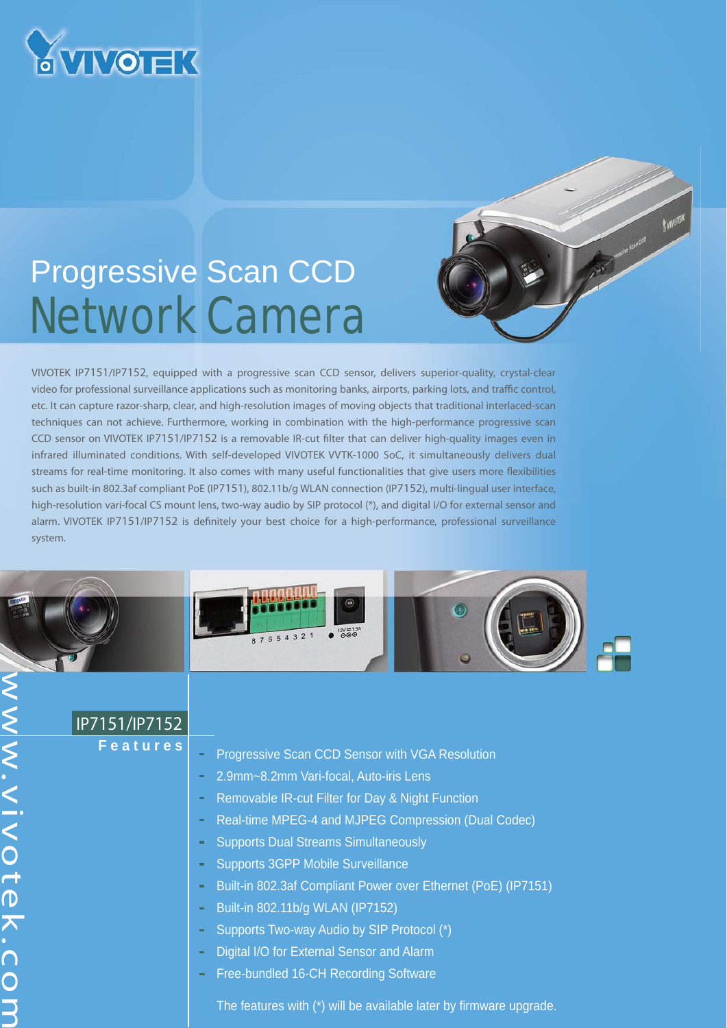

 $\overline{\mathsf{B}}$ 

**VV.VIVOtek.CC** 

## Progressive Scan CCD Network Camera

VIVOTEK IP7151/IP7152, equipped with a progressive scan CCD sensor, delivers superior-quality, crystal-clear video for professional surveillance applications such as monitoring banks, airports, parking lots, and traffic control, etc. It can capture razor-sharp, clear, and high-resolution images of moving objects that traditional interlaced-scan techniques can not achieve. Furthermore, working in combination with the high-performance progressive scan CCD sensor on VIVOTEK IP7151/IP7152 is a removable IR-cut filter that can deliver high-quality images even in infrared illuminated conditions. With self-developed VIVOTEK VVTK-1000 SoC, it simultaneously delivers dual streams for real-time monitoring. It also comes with many useful functionalities that give users more flexibilities such as built-in 802.3af compliant PoE (IP7151), 802.11b/g WLAN connection (IP7152), multi-lingual user interface, high-resolution vari-focal CS mount lens, two-way audio by SIP protocol (\*), and digital I/O for external sensor and alarm. VIVOTEK IP7151/IP7152 is definitely your best choice for a high-performance, professional surveillance system.



| IP7151/IP7152   |                                                                           |
|-----------------|---------------------------------------------------------------------------|
| <b>Features</b> | Progressive Scan CCD Sensor with VGA Resolution                           |
|                 | 2.9mm~8.2mm Vari-focal, Auto-iris Lens<br>$\equiv$                        |
|                 | Removable IR-cut Filter for Day & Night Function<br>$\equiv$              |
|                 | Real-time MPEG-4 and MJPEG Compression (Dual Codec)<br>$\equiv$           |
|                 | <b>Supports Dual Streams Simultaneously</b><br>$\equiv$                   |
|                 | <b>Supports 3GPP Mobile Surveillance</b><br>$\equiv$                      |
|                 | Built-in 802.3af Compliant Power over Ethernet (PoE) (IP7151)<br>$\equiv$ |
|                 | Built-in 802.11b/g WLAN (IP7152)<br>$\equiv$                              |
|                 | Supports Two-way Audio by SIP Protocol (*)<br>$\equiv$                    |
|                 | Digital I/O for External Sensor and Alarm<br>$\sim$                       |
|                 | Free-bundled 16-CH Recording Software<br>$\sim$                           |
|                 | The features with (*) will be available later by firmware upgrade.        |